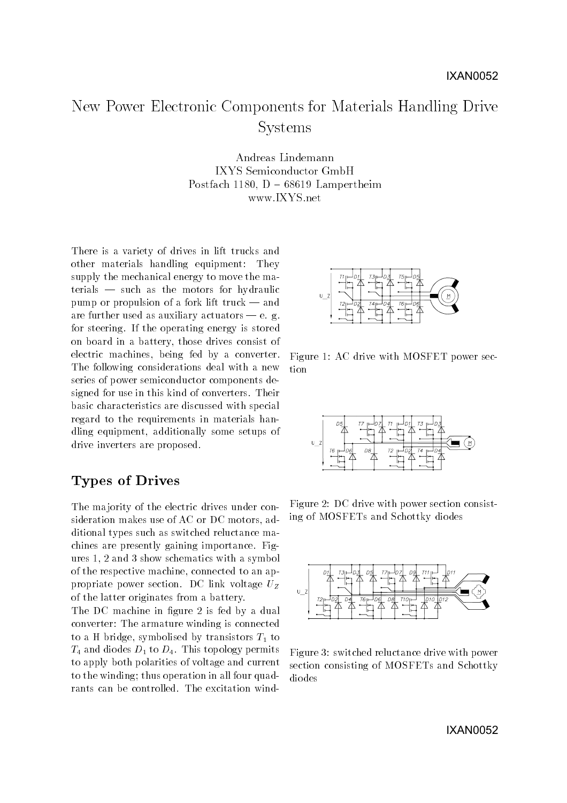# New Power Electronic Components for Materials Handling DriveSystems

Andreas Lindemann IXYS Semiconductor GmbH Postfach 1180,  $D - 68619$  Lampertheim www.IXYS.net

There is a variety of drives in lift trucks and other materials handling equipment: They supply the mechanical energy to move the ma $t$ erials  $-$  such as the motors for hydraulic pump or propulsion of a fork lift truck  $-$  and are further used as auxiliary actuators  $-$  e. g. for steering. If the operating energy is stored on board in a battery, those drives consist of electric machines, being fed by a converter. The following considerations deal with a new series of power semiconductor components designed for use in this kind of converters. Their basic characteristics are discussed with special regard to the requirements in materials handling equipment, additionally some setups of drive inverters are proposed.

# Types of Drives

The ma jority of the electric drives under consideration makes use of AC or DC motors, additional types such as switched reluctance machines are presently gaining importance. Figures 1, 2 and 3 show schematics with a symbol of the respective machine, connected to an appropriate power section. DC link voltage  $U_Z$ of the latter originates from a battery.

The DC machine in figure 2 is fed by a dual converter: The armature winding is connected to a H bridge, symbolised by transistors  $T_1$  to  $T_4$  and diodes  $D_1$  to  $D_4$ . This topology permits to apply both polarities of voltage and current to the winding; thus operation in all four quadrants can be controlled. The excitation wind-



Figure 1: AC drive with MOSFET power section



Figure 2: DC drive with power section consisting of MOSFETs and Schottky diodes



Figure 3: switched reluctance drive with power section consisting of MOSFETs and Schottky diodes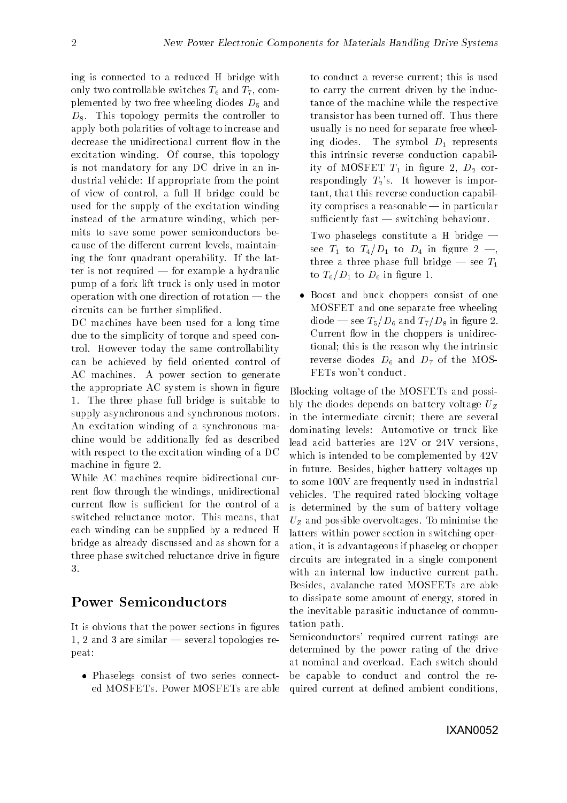ing is connected to a reduced H bridge with only two controllable switches  $T_6$  and  $T_7$ , complemented by two free wheeling diodes  $D_5$  and  $D_8$ . This topology permits the controller to apply both polarities of voltage to increase and decrease the unidirectional current flow in the excitation winding. Of course, this topology is not mandatory for any DC drive in an industrial vehicle: If appropriate from the point of view of control, a full H bridge could be used for the supply of the excitation winding instead of the armature winding, which permits to save some power semiconductors because of the different current levels, maintaining the four quadrant operability. If the latter is not required  $-$  for example a hydraulic pump of a fork lift truck is only used in motor operation with one direction of rotation  $-$  the circuits can be further simplied.

DC machines have been used for a long time due to the simplicity of torque and speed control. However today the same controllability can be achieved by field oriented control of AC machines. A power section to generate the appropriate  $AC$  system is shown in figure 1. The three phase full bridge is suitable to supply asynchronous and synchronous motors. An excitation winding of a synchronous machine would be additionally fed as described with respect to the excitation winding of a DC machine in figure 2.

While AC machines require bidirectional current flow through the windings, unidirectional current flow is sufficient for the control of a switched reluctance motor. This means, that each winding can be supplied by a reduced H bridge as already discussed and as shown for a three phase switched reluctance drive in figure 3.

## Power Semiconductors

It is obvious that the power sections in figures 1, 2 and 3 are similar  $-$  several topologies repeat:

 Phaselegs consist of two series connected MOSFETs. Power MOSFETs are able

to conduct a reverse current; this is used to carry the current driven by the inductance of the machine while the respective transistor has been turned off. Thus there usually is no need for separate free wheeling diodes. The symbol  $D_1$  represents this intrinsic reverse conduction capability of MOSFET  $T_1$  in figure 2,  $D_2$  correspondingly  $T_2$ 's. It however is important, that this reverse conduction capability comprises a reasonable  $\frac{1}{n}$  in particular sufficiently fast  $-$  switching behaviour.

Two phaselegs constitute a H bridge  $$ see  $T_1$  to  $T_4/D_1$  to  $D_4$  in figure 2 – three a three phase full bridge — see  $T_1$ to  $T_6/D_1$  to  $D_6$  in figure 1.

 Boost and buck choppers consist of one MOSFET and one separate free wheeling diode — see  $T_5/D_6$  and  $T_7/D_8$  in figure 2. Current flow in the choppers is unidirectional; this is the reason why the intrinsic reverse diodes  $D_6$  and  $D_7$  of the MOS-FETs won't conduct.

Blocking voltage of the MOSFETs and possibly the diodes depends on battery voltage  $U_Z$ in the intermediate circuit; there are several dominating levels: Automotive or truck like lead acid batteries are 12V or 24V versions, which is intended to be complemented by 42V in future. Besides, higher battery voltages up to some 100V are frequently used in industrial vehicles. The required rated blocking voltage is determined by the sum of battery voltage  $U<sub>Z</sub>$  and possible overvoltages. To minimise the latters within power section in switching operation, it is advantageous if phaseleg or chopper circuits are integrated in a single component with an internal low inductive current path. Besides, avalanche rated MOSFETs are able to dissipate some amount of energy, stored in the inevitable parasitic inductance of commutation path.

Semiconductors' required current ratings are determined by the power rating of the drive at nominal and overload. Each switch should be capable to conduct and control the required current at defined ambient conditions.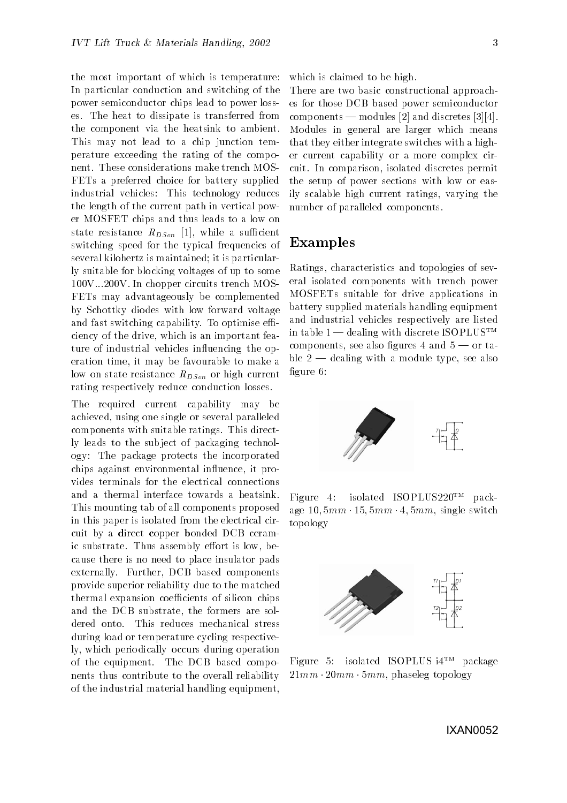the most important of which is temperature: In particular conduction and switching of the power semiconductor chips lead to power losses. The heat to dissipate is transferred from the component via the heatsink to ambient. This may not lead to a chip junction temperature exceeding the rating of the component. These considerations make trench MOS-FETs a preferred choice for battery supplied industrial vehicles: This technology reduces the length of the current path in vertical power MOSFET chips and thus leads to a low on state resistance  $R_{DSon}$  [1], while a sufficient switching speed for the typical frequencies of several kilohertz is maintained; it is particularly suitable for blocking voltages of up to some 100V...200V. In chopper circuits trench MOS-FETs may advantageously be complemented by Schottky diodes with low forward voltage and fast switching capability. To optimise efficiency of the drive, which is an important feature of industrial vehicles influencing the operation time, it may be favourable to make a low on state resistance  $R_{DSon}$  or high current rating respectively reduce conduction losses.

The required current capability may be achieved, using one single or several paralleled components with suitable ratings. This directly leads to the sub ject of packaging technology: The package protects the incorporated chips against environmental in
uence, it provides terminals for the electrical connections and a thermal interface towards a heatsink.  $Figure 4$ . This mounting tab of all components proposed in this paper is isolated from the electrical circuit by a direct copper bonded DCB ceramic substrate. Thus assembly effort is low, because there is no need to place insulator pads externally. Further, DCB based components provide superior reliability due to the matched thermal expansion coefficients of silicon chips and the DCB substrate, the formers are soldered onto. This reduces mechanical stress during load or temperature cycling respectively, which periodically occurs during operation of the equipment. The DCB based components thus contribute to the overall reliability of the industrial material handling equipment,

which is claimed to be high.

There are two basic constructional approaches for those DCB based power semiconductor components — modules [2] and discretes [3][4]. Modules in general are larger which means that they either integrate switches with a higher current capability or a more complex circuit. In comparison, isolated discretes permit the setup of power sections with low or easily scalable high current ratings, varying the number of paralleled components.

#### Examples

Ratings, characteristics and topologies of several isolated components with trench power MOSFETs suitable for drive applications in battery supplied materials handling equipment and industrial vehicles respectively are listed in table  $1$  — dealing with discrete ISOPLUS<sup>TM</sup> components, see also figures 4 and  $5$  – or table  $2$  — dealing with a module type, see also figure 6:



isolated ISOPLUS220<sup>TM</sup> package  $10, 5mm \cdot 15, 5mm \cdot 4, 5mm$ , single switch topology



Figure 5: isolated ISOPLUS i4TM package  $21mm \cdot 20mm \cdot 5mm$ , phaseleg topology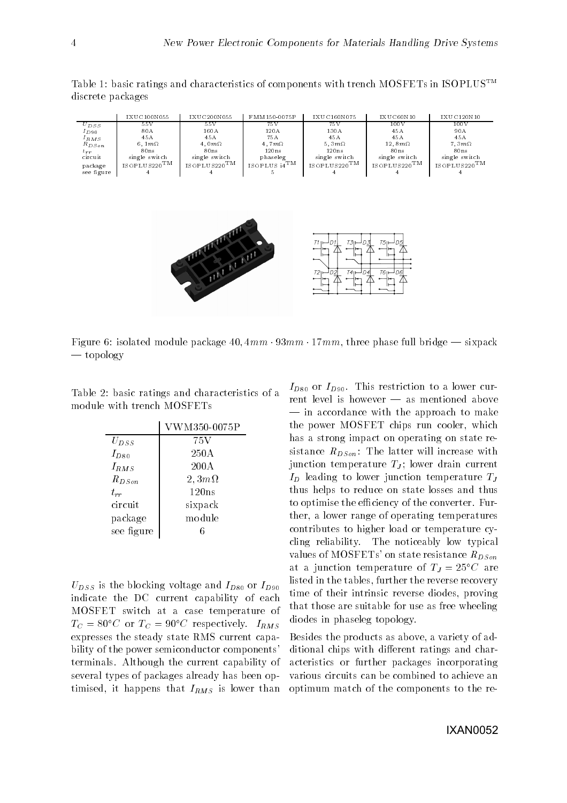Table 1: basic ratings and characteristics of components with trench MOSFETs in ISOPLUSTM discrete packages

|            | IXUC100N055              | IXUC200N055                | FMM150-0075P              | IXUC160N075                  | IXUC60N10              | IXUC120N10                 |
|------------|--------------------------|----------------------------|---------------------------|------------------------------|------------------------|----------------------------|
| $U_{DSS}$  | 55V                      | 55 V                       | 75 V                      | 75V                          | 100V                   | 100V                       |
| $I_{D90}$  | 80A                      | 160A                       | 120A                      | 130A                         | 45 A                   | 90 A                       |
| $I_{RMS}$  | 45A                      | 45 A                       | 75A                       | 45A                          | 45A                    | 45A                        |
| $R_{DSon}$ | 6.1 $m\Omega$            | $4.0m\Omega$               | 4.7 $m\Omega$             | 5, $3m\Omega$                | 12.8 $m\Omega$         | $7.3m\Omega$               |
| $t_{rr}$   | 80ns                     | 80ns                       | 120ns                     | 120ns                        | 80ns                   | 80ns                       |
| circuit    | single switch            | single switch              | phaseleg                  | single switch                | single switch          | single switch              |
| package    | ISOPLUS220 <sup>TM</sup> | $_{\rm ISOPLUS220} \rm TM$ | $\cdot$ ISOPLUS $i4^{TM}$ | $_{\rm ISO\,PLUS220} \rm TM$ | ISOPLUS220 $\text{TM}$ | $_{\rm ISOPLUS220} \rm TM$ |
| see figure |                          |                            |                           |                              |                        |                            |



Figure 6: isolated module package 40,  $4mm \cdot 93mm \cdot 17mm$ , three phase full bridge — sixpack  $\sim$  topology

Table 2: basic ratings and characteristics of a module with trench MOSFETs

|            | VWM350-0075P    |
|------------|-----------------|
| $U_{DSS}$  | 75 V            |
| $I_{D80}$  | 250A            |
| $I_{RMS}$  | $200\text{\AA}$ |
| $R_{DSon}$ | $2,3m\Omega$    |
| $t_{rr}$   | 120ns           |
| circuit    | sixpack         |
| package    | module          |
| see figure |                 |

 $U_{DSS}$  is the blocking voltage and  $I_{D80}$  or  $I_{D90}$ indicate the DC current capability of each MOSFET switch at a case temperature of  $T_C = 80^{\circ}C$  or  $T_C = 90^{\circ}C$  respectively.  $I_{RMS}$ expresses the steady state RMS current capability of the power semiconductor components' terminals. Although the current capability of several types of packages already has been optimised, it happens that  $I_{RMS}$  is lower than

 $I_{D80}$  or  $I_{D90}$ . This restriction to a lower current level is however  $-$  as mentioned above  $\frac{1}{\sqrt{1}}$  in accordance with the approach to make the power MOSFET chips run cooler, which has a strong impact on operating on state resistance  $R_{DS\text{on}}$ : The latter will increase with junction temperature  $T_J$ ; lower drain current  $I_D$  leading to lower junction temperature  $T_J$ thus helps to reduce on state losses and thus to optimise the efficiency of the converter. Further, a lower range of operating temperatures contributes to higher load or temperature cycling reliability. The noticeably low typical values of MOSFETs' on state resistance  $R_{DSon}$ at a junction temperature of  $T_J = 25^{\circ}C$  are listed in the tables, further the reverse recovery time of their intrinsic reverse diodes, proving that those are suitable for use as free wheeling diodes in phaseleg topology.

Besides the products as above, a variety of additional chips with different ratings and characteristics or further packages incorporating various circuits can be combined to achieve an optimum match of the components to the re-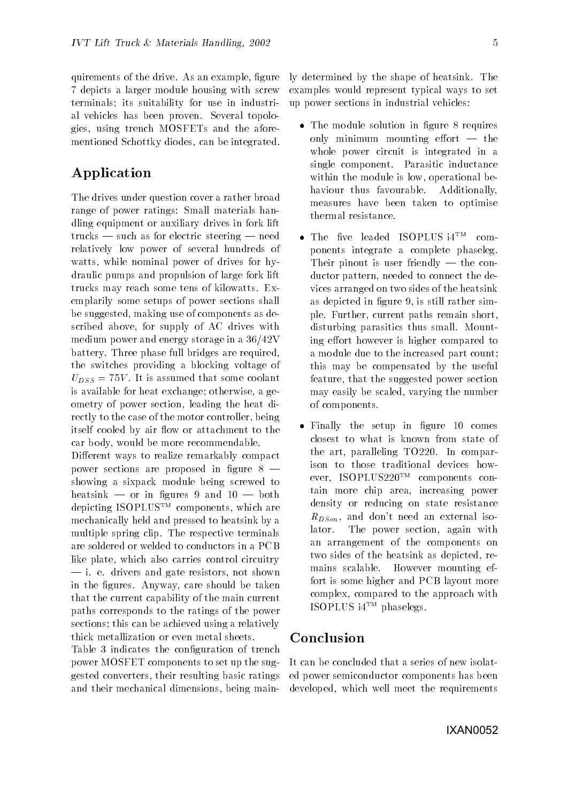quirements of the drive. As an example, figure 7 depicts a larger module housing with screw terminals; its suitability for use in industrial vehicles has been proven. Several topologies, using trench MOSFETs and the aforementioned Schottky diodes, can be integrated.

## Application

The drives under question cover a rather broad range of power ratings: Small materials handling equipment or auxiliary drives in fork lift  $trucks$  — such as for electric steering — need relatively low power of several hundreds of watts, while nominal power of drives for hydraulic pumps and propulsion of large fork lift trucks may reach some tens of kilowatts. Exemplarily some setups of power sections shall be suggested, making use of components as described above, for supply of AC drives with medium power and energy storage in a 36/42V battery. Three phase full bridges are required, the switches providing a blocking voltage of  $U_{DSS} = 75V$ . It is assumed that some coolant is available for heat exchange; otherwise, a geometry of power section, leading the heat directly to the case of the motor controller, being itself cooled by air flow or attachment to the car body, would be more recommendable.

Different ways to realize remarkably compact power sections are proposed in figure  $8$  – showing a sixpack module being screwed to heatsink  $-$  or in figures 9 and  $10 - \text{both}$ depicting ISOPLUSTM components, which are mechanically held and pressed to heatsink by a multiple spring clip. The respective terminals are soldered or welded to conductors in a PCB like plate, which also carries control circuitry  $\frac{1}{\sqrt{2}}$  i. e. drivers and gate resistors, not shown in the figures. Anyway, care should be taken that the current capability of the main current paths corresponds to the ratings of the power sections; this can be achieved using a relatively thick metallization or even metal sheets.

Table 3 indicates the configuration of trench power MOSFET components to set up the suggested converters, their resulting basic ratings and their mechanical dimensions, being mainly determined by the shape of heatsink. The examples would represent typical ways to set up power sections in industrial vehicles:

- $\sim$  1. In the module solution in integration  $\sim$  1. For the set of the set of the set of the set of the set of the set of the set of the set of the set of the set of the set of the set of the set of the set of the set o only minimum mounting effort  $-$  the whole power circuit is integrated in a single component. Parasitic inductance within the module is low, operational behaviour thus favourable. Additionally, measures have been taken to optimise thermal resistance.
- $\bullet$  line live leaded ISOPLUS  $14$ , components integrate a complete phaseleg. Their pinout is user friendly  $-$  the conductor pattern, needed to connect the devices arranged on two sides of the heatsink as depicted in figure 9, is still rather simple. Further, current paths remain short, disturbing parasitics thus small. Mounting effort however is higher compared to a module due to the increased part count; this may be compensated by the useful feature, that the suggested power section may easily be scaled, varying the number of components.
- Finally the setup in gure 10 comes closest to what is known from state of the art, paralleling TO220. In comparison to those traditional devices however, ISOPLUS220TM components contain more chip area, increasing power density or reducing on state resistance  $R_{DSon}$ , and don't need an external isolator. The power section, again with an arrangement of the components on two sides of the heatsink as depicted, remains scalable. However mounting effort is some higher and PCB layout more complex, compared to the approach with ISOPLUS i4TM phaselegs.

#### Conclusion

It can be concluded that a series of new isolated power semiconductor components has been developed, which well meet the requirements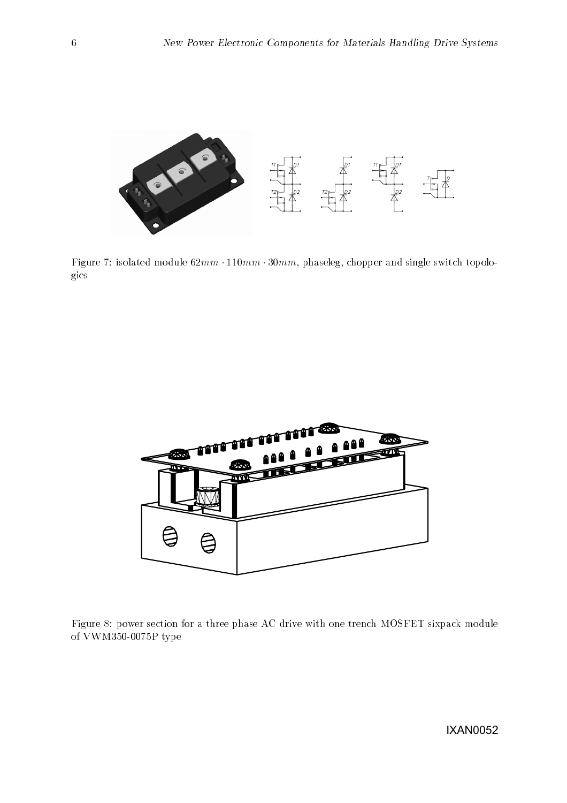

Figure 7: isolated module  $62mm \cdot 110mm \cdot 30mm$ , phaseleg, chopper and single switch topologies



Figure 8: power section for a three phase AC drive with one trench MOSFET sixpack module of VWM350-0075P type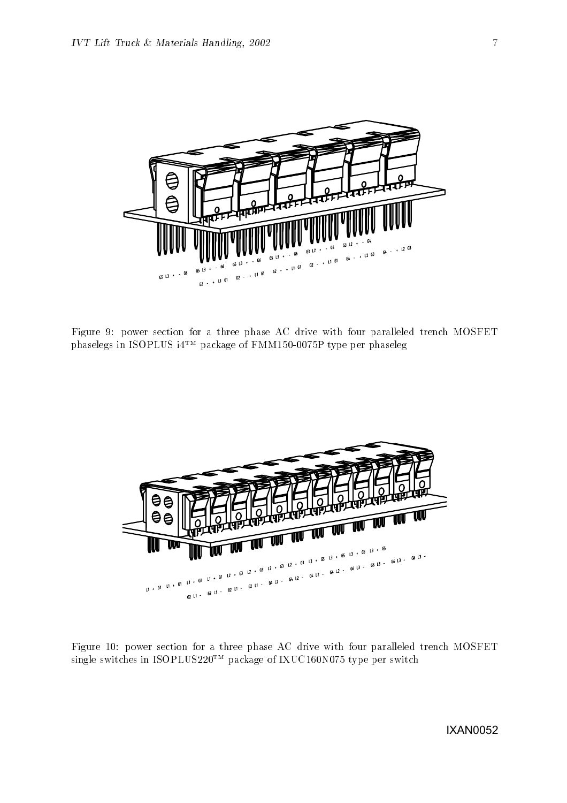

Figure 9: power section for a three phase AC drive with four paralleled trench MOSFET phaselegs in ISOPLUS i4TM package of FMM150-0075P type per phaseleg



Figure 10: power section for a three phase AC drive with four paralleled trench MOSFET single switches in ISOPLUS220TM package of IXUC160N075 type per switch